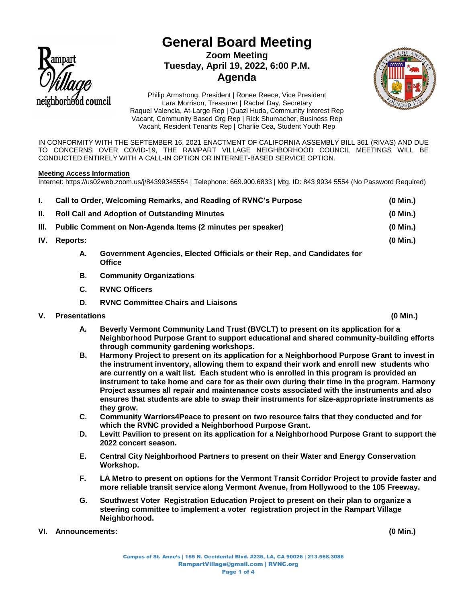

# **General Board Meeting Zoom Meeting Tuesday, April 19, 2022, 6:00 P.M. Agenda**



Philip Armstrong, President | Ronee Reece, Vice President Lara Morrison, Treasurer | Rachel Day, Secretary Raquel Valencia, At-Large Rep | Quazi Huda, Community Interest Rep Vacant, Community Based Org Rep | Rick Shumacher, Business Rep Vacant, Resident Tenants Rep | Charlie Cea, Student Youth Rep

IN CONFORMITY WITH THE SEPTEMBER 16, 2021 ENACTMENT OF CALIFORNIA ASSEMBLY BILL 361 (RIVAS) AND DUE TO CONCERNS OVER COVID-19, THE RAMPART VILLAGE NEIGHBORHOOD COUNCIL MEETINGS WILL BE CONDUCTED ENTIRELY WITH A CALL-IN OPTION OR INTERNET-BASED SERVICE OPTION.

## **Meeting Access Information**

Internet: https://us02web.zoom.us/j/84399345554 | Telephone: 669.900.6833 | Mtg. ID: 843 9934 5554 (No Password Required)

| L.   | Call to Order, Welcoming Remarks, and Reading of RVNC's Purpose |                                                                                          | $(0$ Min.) |
|------|-----------------------------------------------------------------|------------------------------------------------------------------------------------------|------------|
| Ш.   | <b>Roll Call and Adoption of Outstanding Minutes</b>            |                                                                                          | $(0$ Min.) |
| III. | Public Comment on Non-Agenda Items (2 minutes per speaker)      |                                                                                          | $(0$ Min.) |
| IV.  | <b>Reports:</b>                                                 |                                                                                          | $(0$ Min.) |
|      | А.                                                              | Government Agencies, Elected Officials or their Rep, and Candidates for<br><b>Office</b> |            |
|      | В.                                                              | <b>Community Organizations</b>                                                           |            |

- **C. RVNC Officers**
- **D. RVNC Committee Chairs and Liaisons**
- **V. Presentations (0 Min.)**

- **A. Beverly Vermont Community Land Trust (BVCLT) to present on its application for a Neighborhood Purpose Grant to support educational and shared community-building efforts through community gardening workshops.**
- **B. Harmony Project to present on its application for a Neighborhood Purpose Grant to invest in the instrument inventory, allowing them to expand their work and enroll new students who are currently on a wait list. Each student who is enrolled in this program is provided an instrument to take home and care for as their own during their time in the program. Harmony Project assumes all repair and maintenance costs associated with the instruments and also ensures that students are able to swap their instruments for size-appropriate instruments as they grow.**
- **C. Community Warriors4Peace to present on two resource fairs that they conducted and for which the RVNC provided a Neighborhood Purpose Grant.**
- **D. Levitt Pavilion to present on its application for a Neighborhood Purpose Grant to support the 2022 concert season.**
- **E. Central City Neighborhood Partners to present on their Water and Energy Conservation Workshop.**
- **F. LA Metro to present on options for the Vermont Transit Corridor Project to provide faster and more reliable transit service along Vermont Avenue, from Hollywood to the 105 Freeway.**
- **G. Southwest Voter Registration Education Project to present on their plan to organize a steering committee to implement a voter registration project in the Rampart Village Neighborhood.**

**VI. Announcements: (0 Min.)**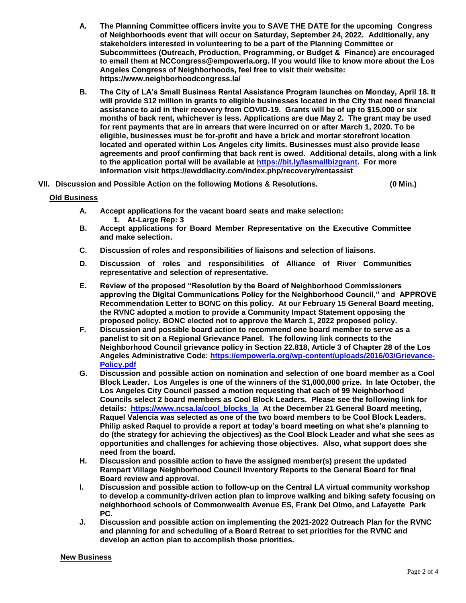- **A. The Planning Committee officers invite you to SAVE THE DATE for the upcoming Congress of Neighborhoods event that will occur on Saturday, September 24, 2022. Additionally, any stakeholders interested in volunteering to be a part of the Planning Committee or Subcommittees (Outreach, Production, Programming, or Budget & Finance) are encouraged to email them at NCCongress@empowerla.org. If you would like to know more about the Los Angeles Congress of Neighborhoods, feel free to visit their website: https://www.neighborhoodcongress.la/**
- **B. The City of LA's Small Business Rental Assistance Program launches on Monday, April 18. It will provide \$12 million in grants to eligible businesses located in the City that need financial assistance to aid in their recovery from COVID-19. Grants will be of up to \$15,000 or six months of back rent, whichever is less. Applications are due May 2. The grant may be used for rent payments that are in arrears that were incurred on or after March 1, 2020. To be eligible, businesses must be for-profit and have a brick and mortar storefront location located and operated within Los Angeles city limits. Businesses must also provide lease agreements and proof confirming that back rent is owed. Additional details, along with a link to the application portal will be available at [https://bit.ly/lasmallbizgrant.](https://bit.ly/lasmallbizgrant) For more information visit https://ewddlacity.com/index.php/recovery/rentassist**
- **VII. Discussion and Possible Action on the following Motions & Resolutions. (0 Min.)**

# **Old Business**

- **A. Accept applications for the vacant board seats and make selection: 1. At-Large Rep: 3**
- **B. Accept applications for Board Member Representative on the Executive Committee and make selection.**
- **C. Discussion of roles and responsibilities of liaisons and selection of liaisons.**
- **D. Discussion of roles and responsibilities of Alliance of River Communities representative and selection of representative.**
- **E. Review of the proposed "Resolution by the Board of Neighborhood Commissioners approving the Digital Communications Policy for the Neighborhood Council," and APPROVE Recommendation Letter to BONC on this policy. At our February 15 General Board meeting, the RVNC adopted a motion to provide a Community Impact Statement opposing the proposed policy. BONC elected not to approve the March 1, 2022 proposed policy.**
- **F. Discussion and possible board action to recommend one board member to serve as a panelist to sit on a Regional Grievance Panel. The following link connects to the Neighborhood Council grievance policy in Section 22.818, Article 3 of Chapter 28 of the Los Angeles Administrative Code: [https://empowerla.org/wp-content/uploads/2016/03/Grievance-](https://empowerla.org/wp-content/uploads/2016/03/Grievance-Policy.pdf)[Policy.pdf](https://empowerla.org/wp-content/uploads/2016/03/Grievance-Policy.pdf)**
- **G. Discussion and possible action on nomination and selection of one board member as a Cool Block Leader. Los Angeles is one of the winners of the \$1,000,000 prize. In late October, the Los Angeles City Council passed a motion requesting that each of 99 Neighborhood Councils select 2 board members as Cool Block Leaders. Please see the following link for details: [https://www.ncsa.la/cool\\_blocks\\_la](https://www.ncsa.la/cool_blocks_la) At the December 21 General Board meeting, Raquel Valencia was selected as one of the two board members to be Cool Block Leaders. Philip asked Raquel to provide a report at today's board meeting on what she's planning to do (the strategy for achieving the objectives) as the Cool Block Leader and what she sees as opportunities and challenges for achieving those objectives. Also, what support does she need from the board.**
- **H. Discussion and possible action to have the assigned member(s) present the updated Rampart Village Neighborhood Council Inventory Reports to the General Board for final Board review and approval.**
- **I. Discussion and possible action to follow-up on the Central LA virtual community workshop to develop a community-driven action plan to improve walking and biking safety focusing on neighborhood schools of Commonwealth Avenue ES, Frank Del Olmo, and Lafayette Park PC.**
- **J. Discussion and possible action on implementing the 2021-2022 Outreach Plan for the RVNC and planning for and scheduling of a Board Retreat to set priorities for the RVNC and develop an action plan to accomplish those priorities.**

## **New Business**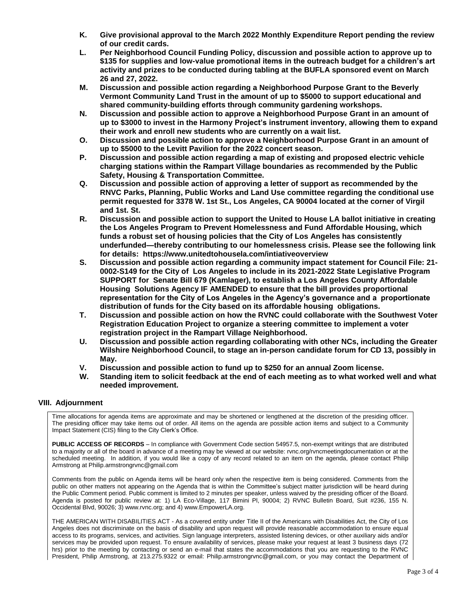- **K. Give provisional approval to the March 2022 Monthly Expenditure Report pending the review of our credit cards.**
- **L. Per Neighborhood Council Funding Policy, discussion and possible action to approve up to \$135 for supplies and low-value promotional items in the outreach budget for a children's art activity and prizes to be conducted during tabling at the BUFLA sponsored event on March 26 and 27, 2022.**
- **M. Discussion and possible action regarding a Neighborhood Purpose Grant to the Beverly Vermont Community Land Trust in the amount of up to \$5000 to support educational and shared community-building efforts through community gardening workshops.**
- **N. Discussion and possible action to approve a Neighborhood Purpose Grant in an amount of up to \$3000 to invest in the Harmony Project's instrument inventory, allowing them to expand their work and enroll new students who are currently on a wait list.**
- **O. Discussion and possible action to approve a Neighborhood Purpose Grant in an amount of up to \$5000 to the Levitt Pavilion for the 2022 concert season.**
- **P. Discussion and possible action regarding a map of existing and proposed electric vehicle charging stations within the Rampart Village boundaries as recommended by the Public Safety, Housing & Transportation Committee.**
- **Q. Discussion and possible action of approving a letter of support as recommended by the RNVC Parks, Planning, Public Works and Land Use committee regarding the conditional use permit requested for 3378 W. 1st St., Los Angeles, CA 90004 located at the corner of Virgil and 1st. St.**
- **R. Discussion and possible action to support the United to House LA ballot initiative in creating the Los Angeles Program to Prevent Homelessness and Fund Affordable Housing, which funds a robust set of housing policies that the City of Los Angeles has consistently underfunded—thereby contributing to our homelessness crisis. Please see the following link for details: https://www.unitedtohousela.com/intiativeoverview**
- **S. Discussion and possible action regarding a community impact statement for Council File: 21- 0002-S149 for the City of Los Angeles to include in its 2021-2022 State Legislative Program SUPPORT for Senate Bill 679 (Kamlager), to establish a Los Angeles County Affordable Housing Solutions Agency IF AMENDED to ensure that the bill provides proportional representation for the City of Los Angeles in the Agency's governance and a proportionate distribution of funds for the City based on its affordable housing obligations.**
- **T. Discussion and possible action on how the RVNC could collaborate with the Southwest Voter Registration Education Project to organize a steering committee to implement a voter registration project in the Rampart Village Neighborhood.**
- **U. Discussion and possible action regarding collaborating with other NCs, including the Greater Wilshire Neighborhood Council, to stage an in-person candidate forum for CD 13, possibly in May.**
- **V. Discussion and possible action to fund up to \$250 for an annual Zoom license.**
- **W. Standing item to solicit feedback at the end of each meeting as to what worked well and what needed improvement.**

# **VIII. Adjournment**

Time allocations for agenda items are approximate and may be shortened or lengthened at the discretion of the presiding officer. The presiding officer may take items out of order. All items on the agenda are possible action items and subject to a Community Impact Statement (CIS) filing to the City Clerk's Office.

**PUBLIC ACCESS OF RECORDS** – In compliance with Government Code section 54957.5, non-exempt writings that are distributed to a majority or all of the board in advance of a meeting may be viewed at our website: rvnc.org/rvncmeetingdocumentation or at the scheduled meeting. In addition, if you would like a copy of any record related to an item on the agenda, please contact Philip Armstrong at Philip.armstrongrvnc@gmail.com

Comments from the public on Agenda items will be heard only when the respective item is being considered. Comments from the public on other matters not appearing on the Agenda that is within the Committee's subject matter jurisdiction will be heard during the Public Comment period. Public comment is limited to 2 minutes per speaker, unless waived by the presiding officer of the Board. Agenda is posted for public review at: 1) LA Eco-Village, 117 Bimini Pl, 90004; 2) RVNC Bulletin Board, Suit #236, 155 N. Occidental Blvd, 90026; 3) www.rvnc.org; and 4) www.EmpowerLA.org.

THE AMERICAN WITH DISABILITIES ACT - As a covered entity under Title II of the Americans with Disabilities Act, the City of Los Angeles does not discriminate on the basis of disability and upon request will provide reasonable accommodation to ensure equal access to its programs, services, and activities. Sign language interpreters, assisted listening devices, or other auxiliary aids and/or services may be provided upon request. To ensure availability of services, please make your request at least 3 business days (72 hrs) prior to the meeting by contacting or send an e-mail that states the accommodations that you are requesting to the RVNC President, Philip Armstrong, at 213.275.9322 or email: Philip.armstrongrvnc@gmail.com, or you may contact the Department of